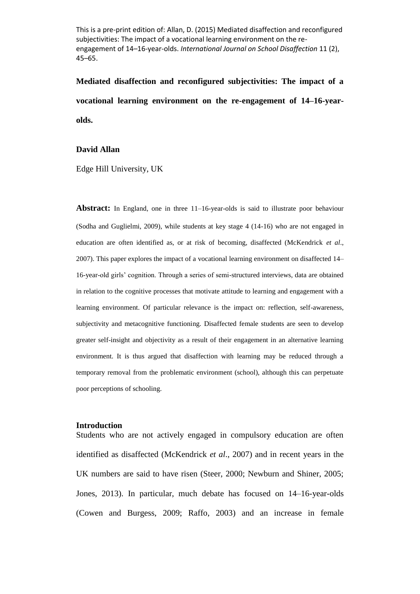This is a pre-print edition of: Allan, D. (2015) Mediated disaffection and reconfigured subjectivities: The impact of a vocational learning environment on the reengagement of 14–16-year-olds. *International Journal on School Disaffection* 11 (2), 45–65.

**Mediated disaffection and reconfigured subjectivities: The impact of a vocational learning environment on the re-engagement of 14–16-yearolds.**

### **David Allan**

Edge Hill University, UK

**Abstract:** In England, one in three 11–16-year-olds is said to illustrate poor behaviour (Sodha and Guglielmi, 2009), while students at key stage 4 (14-16) who are not engaged in education are often identified as, or at risk of becoming, disaffected (McKendrick *et al*., 2007). This paper explores the impact of a vocational learning environment on disaffected 14– 16-year-old girls' cognition. Through a series of semi-structured interviews, data are obtained in relation to the cognitive processes that motivate attitude to learning and engagement with a learning environment. Of particular relevance is the impact on: reflection, self-awareness, subjectivity and metacognitive functioning. Disaffected female students are seen to develop greater self-insight and objectivity as a result of their engagement in an alternative learning environment. It is thus argued that disaffection with learning may be reduced through a temporary removal from the problematic environment (school), although this can perpetuate poor perceptions of schooling.

#### **Introduction**

Students who are not actively engaged in compulsory education are often identified as disaffected (McKendrick *et al*., 2007) and in recent years in the UK numbers are said to have risen (Steer, 2000; Newburn and Shiner, 2005; Jones, 2013). In particular, much debate has focused on 14–16-year-olds (Cowen and Burgess, 2009; Raffo, 2003) and an increase in female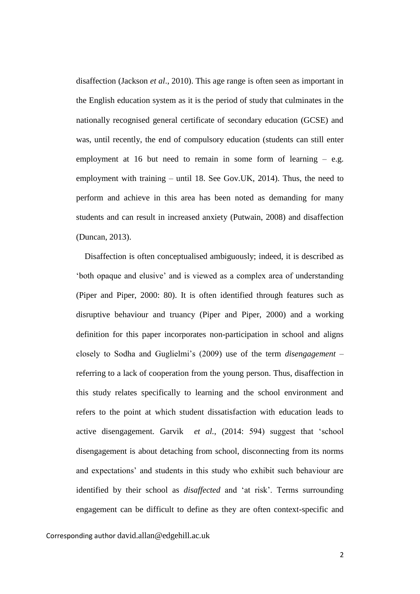disaffection (Jackson *et al*., 2010). This age range is often seen as important in the English education system as it is the period of study that culminates in the nationally recognised general certificate of secondary education (GCSE) and was, until recently, the end of compulsory education (students can still enter employment at 16 but need to remain in some form of learning  $-$  e.g. employment with training – until 18. See Gov.UK, 2014). Thus, the need to perform and achieve in this area has been noted as demanding for many students and can result in increased anxiety (Putwain, 2008) and disaffection (Duncan, 2013).

 Disaffection is often conceptualised ambiguously; indeed, it is described as 'both opaque and elusive' and is viewed as a complex area of understanding (Piper and Piper, 2000: 80). It is often identified through features such as disruptive behaviour and truancy (Piper and Piper, 2000) and a working definition for this paper incorporates non-participation in school and aligns closely to Sodha and Guglielmi's (2009) use of the term *disengagement* – referring to a lack of cooperation from the young person. Thus, disaffection in this study relates specifically to learning and the school environment and refers to the point at which student dissatisfaction with education leads to active disengagement. Garvik *et al.*, (2014: 594) suggest that 'school disengagement is about detaching from school, disconnecting from its norms and expectations' and students in this study who exhibit such behaviour are identified by their school as *disaffected* and 'at risk'. Terms surrounding engagement can be difficult to define as they are often context-specific and

Corresponding author david.allan@edgehill.ac.uk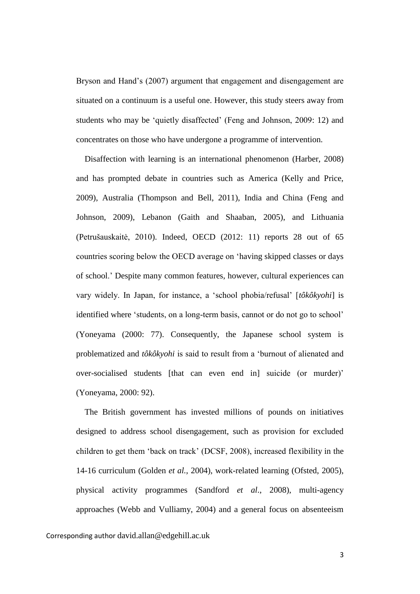Bryson and Hand's (2007) argument that engagement and disengagement are situated on a continuum is a useful one. However, this study steers away from students who may be 'quietly disaffected' (Feng and Johnson, 2009: 12) and concentrates on those who have undergone a programme of intervention.

 Disaffection with learning is an international phenomenon (Harber, 2008) and has prompted debate in countries such as America (Kelly and Price, 2009), Australia (Thompson and Bell, 2011), India and China (Feng and Johnson, 2009), Lebanon (Gaith and Shaaban, 2005), and Lithuania (Petrušauskaitė, 2010). Indeed, OECD (2012: 11) reports 28 out of 65 countries scoring below the OECD average on 'having skipped classes or days of school.' Despite many common features, however, cultural experiences can vary widely. In Japan, for instance, a 'school phobia/refusal' [*tôkôkyohi*] is identified where 'students, on a long-term basis, cannot or do not go to school' (Yoneyama (2000: 77). Consequently, the Japanese school system is problematized and *tôkôkyohi* is said to result from a 'burnout of alienated and over-socialised students [that can even end in] suicide (or murder)' (Yoneyama, 2000: 92).

 The British government has invested millions of pounds on initiatives designed to address school disengagement, such as provision for excluded children to get them 'back on track' (DCSF, 2008), increased flexibility in the 14-16 curriculum (Golden *et al.*, 2004), work-related learning (Ofsted, 2005), physical activity programmes (Sandford *et al*., 2008), multi-agency approaches (Webb and Vulliamy, 2004) and a general focus on absenteeism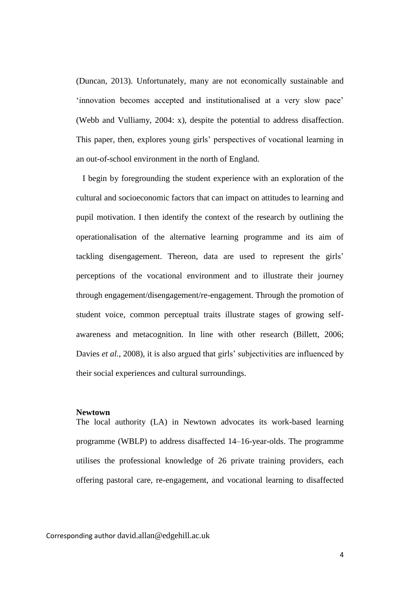(Duncan, 2013). Unfortunately, many are not economically sustainable and 'innovation becomes accepted and institutionalised at a very slow pace' (Webb and Vulliamy, 2004: x), despite the potential to address disaffection. This paper, then, explores young girls' perspectives of vocational learning in an out-of-school environment in the north of England.

 I begin by foregrounding the student experience with an exploration of the cultural and socioeconomic factors that can impact on attitudes to learning and pupil motivation. I then identify the context of the research by outlining the operationalisation of the alternative learning programme and its aim of tackling disengagement. Thereon, data are used to represent the girls' perceptions of the vocational environment and to illustrate their journey through engagement/disengagement/re-engagement. Through the promotion of student voice, common perceptual traits illustrate stages of growing selfawareness and metacognition. In line with other research (Billett, 2006; Davies *et al.*, 2008), it is also argued that girls' subjectivities are influenced by their social experiences and cultural surroundings.

### **Newtown**

The local authority (LA) in Newtown advocates its work-based learning programme (WBLP) to address disaffected 14–16-year-olds. The programme utilises the professional knowledge of 26 private training providers, each offering pastoral care, re-engagement, and vocational learning to disaffected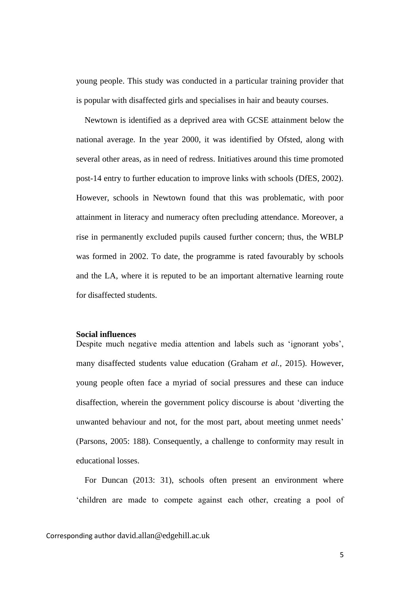young people. This study was conducted in a particular training provider that is popular with disaffected girls and specialises in hair and beauty courses.

 Newtown is identified as a deprived area with GCSE attainment below the national average. In the year 2000, it was identified by Ofsted, along with several other areas, as in need of redress. Initiatives around this time promoted post-14 entry to further education to improve links with schools (DfES, 2002). However, schools in Newtown found that this was problematic, with poor attainment in literacy and numeracy often precluding attendance. Moreover, a rise in permanently excluded pupils caused further concern; thus, the WBLP was formed in 2002. To date, the programme is rated favourably by schools and the LA, where it is reputed to be an important alternative learning route for disaffected students.

### **Social influences**

Despite much negative media attention and labels such as 'ignorant yobs', many disaffected students value education (Graham *et al.,* 2015). However, young people often face a myriad of social pressures and these can induce disaffection, wherein the government policy discourse is about 'diverting the unwanted behaviour and not, for the most part, about meeting unmet needs' (Parsons, 2005: 188). Consequently, a challenge to conformity may result in educational losses.

 For Duncan (2013: 31), schools often present an environment where 'children are made to compete against each other, creating a pool of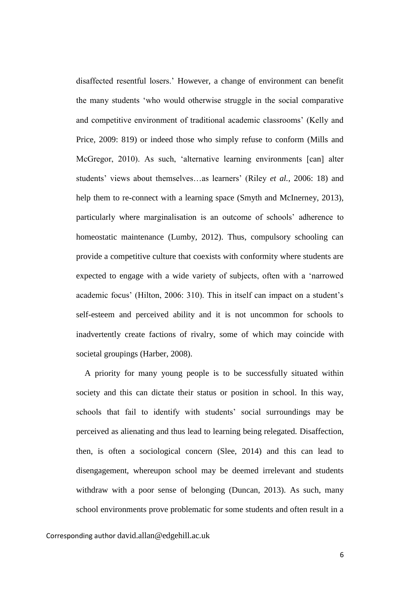disaffected resentful losers.' However, a change of environment can benefit the many students 'who would otherwise struggle in the social comparative and competitive environment of traditional academic classrooms' (Kelly and Price, 2009: 819) or indeed those who simply refuse to conform (Mills and McGregor, 2010). As such, 'alternative learning environments [can] alter students' views about themselves…as learners' (Riley *et al.*, 2006: 18) and help them to re-connect with a learning space (Smyth and McInerney, 2013), particularly where marginalisation is an outcome of schools' adherence to homeostatic maintenance (Lumby, 2012). Thus, compulsory schooling can provide a competitive culture that coexists with conformity where students are expected to engage with a wide variety of subjects, often with a 'narrowed academic focus' (Hilton, 2006: 310). This in itself can impact on a student's self-esteem and perceived ability and it is not uncommon for schools to inadvertently create factions of rivalry, some of which may coincide with societal groupings (Harber, 2008).

 A priority for many young people is to be successfully situated within society and this can dictate their status or position in school. In this way, schools that fail to identify with students' social surroundings may be perceived as alienating and thus lead to learning being relegated. Disaffection, then, is often a sociological concern (Slee, 2014) and this can lead to disengagement, whereupon school may be deemed irrelevant and students withdraw with a poor sense of belonging (Duncan, 2013). As such, many school environments prove problematic for some students and often result in a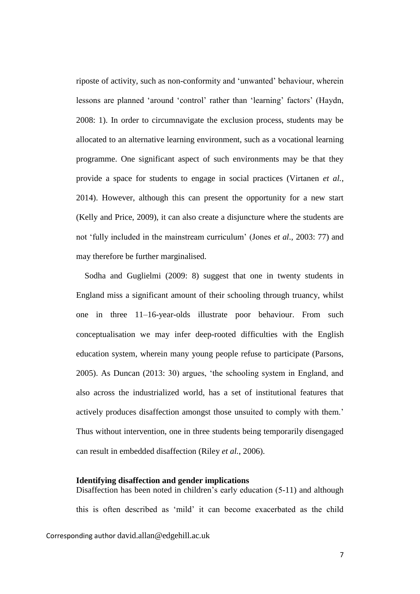riposte of activity, such as non-conformity and 'unwanted' behaviour, wherein lessons are planned 'around 'control' rather than 'learning' factors' (Haydn, 2008: 1). In order to circumnavigate the exclusion process, students may be allocated to an alternative learning environment, such as a vocational learning programme. One significant aspect of such environments may be that they provide a space for students to engage in social practices (Virtanen *et al.*, 2014). However, although this can present the opportunity for a new start (Kelly and Price, 2009), it can also create a disjuncture where the students are not 'fully included in the mainstream curriculum' (Jones *et al*., 2003: 77) and may therefore be further marginalised.

 Sodha and Guglielmi (2009: 8) suggest that one in twenty students in England miss a significant amount of their schooling through truancy, whilst one in three 11–16-year-olds illustrate poor behaviour. From such conceptualisation we may infer deep-rooted difficulties with the English education system, wherein many young people refuse to participate (Parsons, 2005). As Duncan (2013: 30) argues, 'the schooling system in England, and also across the industrialized world, has a set of institutional features that actively produces disaffection amongst those unsuited to comply with them.' Thus without intervention, one in three students being temporarily disengaged can result in embedded disaffection (Riley *et al.*, 2006).

### **Identifying disaffection and gender implications**

Corresponding author david.allan@edgehill.ac.uk Disaffection has been noted in children's early education (5-11) and although this is often described as 'mild' it can become exacerbated as the child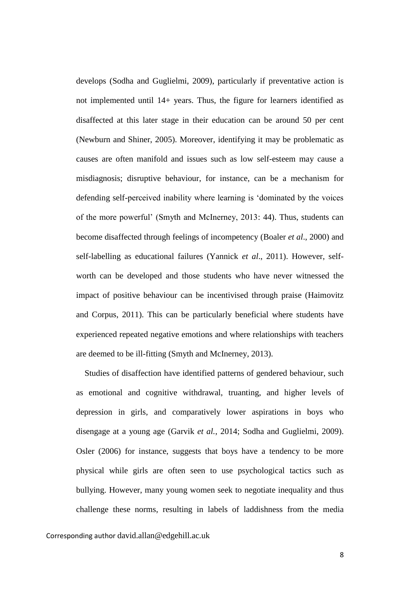develops (Sodha and Guglielmi, 2009), particularly if preventative action is not implemented until 14+ years. Thus, the figure for learners identified as disaffected at this later stage in their education can be around 50 per cent (Newburn and Shiner, 2005). Moreover, identifying it may be problematic as causes are often manifold and issues such as low self-esteem may cause a misdiagnosis; disruptive behaviour, for instance, can be a mechanism for defending self-perceived inability where learning is 'dominated by the voices of the more powerful' (Smyth and McInerney, 2013: 44). Thus, students can become disaffected through feelings of incompetency (Boaler *et al*., 2000) and self-labelling as educational failures (Yannick *et al*., 2011). However, selfworth can be developed and those students who have never witnessed the impact of positive behaviour can be incentivised through praise (Haimovitz and Corpus, 2011). This can be particularly beneficial where students have experienced repeated negative emotions and where relationships with teachers are deemed to be ill-fitting (Smyth and McInerney, 2013).

 Studies of disaffection have identified patterns of gendered behaviour, such as emotional and cognitive withdrawal, truanting, and higher levels of depression in girls, and comparatively lower aspirations in boys who disengage at a young age (Garvik *et al.*, 2014; Sodha and Guglielmi, 2009). Osler (2006) for instance, suggests that boys have a tendency to be more physical while girls are often seen to use psychological tactics such as bullying. However, many young women seek to negotiate inequality and thus challenge these norms, resulting in labels of laddishness from the media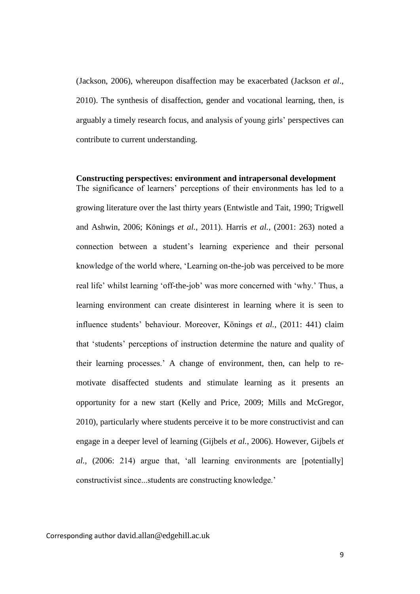(Jackson, 2006), whereupon disaffection may be exacerbated (Jackson *et al*., 2010). The synthesis of disaffection, gender and vocational learning, then, is arguably a timely research focus, and analysis of young girls' perspectives can contribute to current understanding.

**Constructing perspectives: environment and intrapersonal development** The significance of learners' perceptions of their environments has led to a growing literature over the last thirty years (Entwistle and Tait, 1990; Trigwell and Ashwin, 2006; Könings *et al.*, 2011). Harris *et al.*, (2001: 263) noted a connection between a student's learning experience and their personal knowledge of the world where, 'Learning on-the-job was perceived to be more real life' whilst learning 'off-the-job' was more concerned with 'why.' Thus, a learning environment can create disinterest in learning where it is seen to influence students' behaviour. Moreover, Könings *et al.*, (2011: 441) claim that 'students' perceptions of instruction determine the nature and quality of their learning processes.' A change of environment, then, can help to remotivate disaffected students and stimulate learning as it presents an opportunity for a new start (Kelly and Price, 2009; Mills and McGregor, 2010), particularly where students perceive it to be more constructivist and can engage in a deeper level of learning (Gijbels *et al.*, 2006). However, Gijbels *et al.*, (2006: 214) argue that, 'all learning environments are [potentially] constructivist since...students are constructing knowledge.'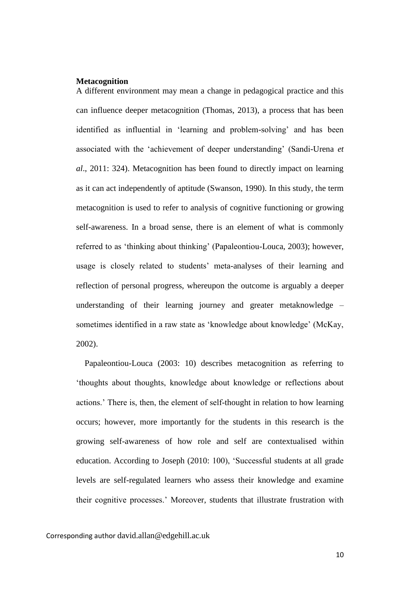### **Metacognition**

A different environment may mean a change in pedagogical practice and this can influence deeper metacognition (Thomas, 2013), a process that has been identified as influential in 'learning and problem-solving' and has been associated with the 'achievement of deeper understanding' (Sandi-Urena *et al*., 2011: 324). Metacognition has been found to directly impact on learning as it can act independently of aptitude (Swanson, 1990). In this study, the term metacognition is used to refer to analysis of cognitive functioning or growing self-awareness. In a broad sense, there is an element of what is commonly referred to as 'thinking about thinking' (Papaleontiou-Louca, 2003); however, usage is closely related to students' meta-analyses of their learning and reflection of personal progress, whereupon the outcome is arguably a deeper understanding of their learning journey and greater metaknowledge – sometimes identified in a raw state as 'knowledge about knowledge' (McKay, 2002).

 Papaleontiou-Louca (2003: 10) describes metacognition as referring to 'thoughts about thoughts, knowledge about knowledge or reflections about actions.' There is, then, the element of self-thought in relation to how learning occurs; however, more importantly for the students in this research is the growing self-awareness of how role and self are contextualised within education. According to Joseph (2010: 100), 'Successful students at all grade levels are self-regulated learners who assess their knowledge and examine their cognitive processes.' Moreover, students that illustrate frustration with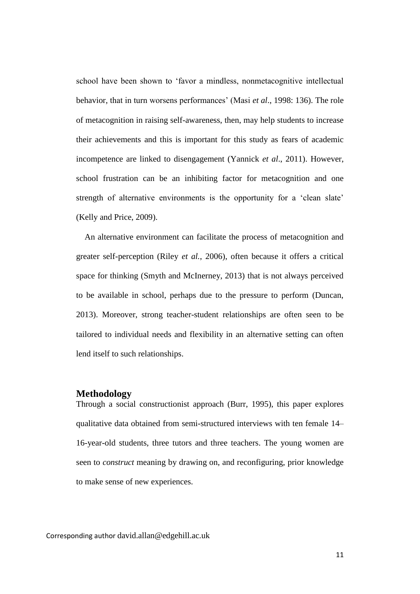school have been shown to 'favor a mindless, nonmetacognitive intellectual behavior, that in turn worsens performances' (Masi *et al*., 1998: 136). The role of metacognition in raising self-awareness, then, may help students to increase their achievements and this is important for this study as fears of academic incompetence are linked to disengagement (Yannick *et al*., 2011). However, school frustration can be an inhibiting factor for metacognition and one strength of alternative environments is the opportunity for a 'clean slate' (Kelly and Price, 2009).

 An alternative environment can facilitate the process of metacognition and greater self-perception (Riley *et al.*, 2006), often because it offers a critical space for thinking (Smyth and McInerney, 2013) that is not always perceived to be available in school, perhaps due to the pressure to perform (Duncan, 2013). Moreover, strong teacher-student relationships are often seen to be tailored to individual needs and flexibility in an alternative setting can often lend itself to such relationships.

# **Methodology**

Through a social constructionist approach (Burr, 1995), this paper explores qualitative data obtained from semi-structured interviews with ten female 14– 16-year-old students, three tutors and three teachers. The young women are seen to *construct* meaning by drawing on, and reconfiguring, prior knowledge to make sense of new experiences.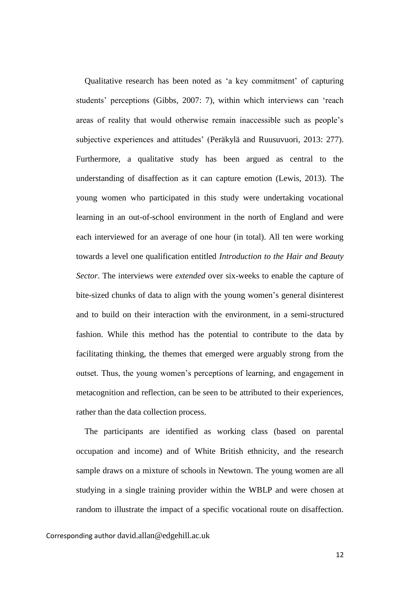Qualitative research has been noted as 'a key commitment' of capturing students' perceptions (Gibbs, 2007: 7), within which interviews can 'reach areas of reality that would otherwise remain inaccessible such as people's subjective experiences and attitudes' (Peräkylä and Ruusuvuori, 2013: 277). Furthermore, a qualitative study has been argued as central to the understanding of disaffection as it can capture emotion (Lewis, 2013). The young women who participated in this study were undertaking vocational learning in an out-of-school environment in the north of England and were each interviewed for an average of one hour (in total). All ten were working towards a level one qualification entitled *Introduction to the Hair and Beauty Sector*. The interviews were *extended* over six-weeks to enable the capture of bite-sized chunks of data to align with the young women's general disinterest and to build on their interaction with the environment, in a semi-structured fashion. While this method has the potential to contribute to the data by facilitating thinking, the themes that emerged were arguably strong from the outset. Thus, the young women's perceptions of learning, and engagement in metacognition and reflection, can be seen to be attributed to their experiences, rather than the data collection process.

 The participants are identified as working class (based on parental occupation and income) and of White British ethnicity, and the research sample draws on a mixture of schools in Newtown. The young women are all studying in a single training provider within the WBLP and were chosen at random to illustrate the impact of a specific vocational route on disaffection.

Corresponding author david.allan@edgehill.ac.uk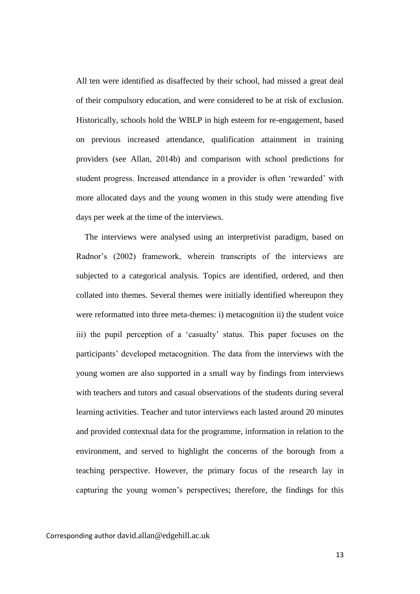All ten were identified as disaffected by their school, had missed a great deal of their compulsory education, and were considered to be at risk of exclusion. Historically, schools hold the WBLP in high esteem for re-engagement, based on previous increased attendance, qualification attainment in training providers (see Allan, 2014b) and comparison with school predictions for student progress. Increased attendance in a provider is often 'rewarded' with more allocated days and the young women in this study were attending five days per week at the time of the interviews.

 The interviews were analysed using an interpretivist paradigm, based on Radnor's (2002) framework, wherein transcripts of the interviews are subjected to a categorical analysis. Topics are identified, ordered, and then collated into themes. Several themes were initially identified whereupon they were reformatted into three meta-themes: i) metacognition ii) the student voice iii) the pupil perception of a 'casualty' status. This paper focuses on the participants' developed metacognition. The data from the interviews with the young women are also supported in a small way by findings from interviews with teachers and tutors and casual observations of the students during several learning activities. Teacher and tutor interviews each lasted around 20 minutes and provided contextual data for the programme, information in relation to the environment, and served to highlight the concerns of the borough from a teaching perspective. However, the primary focus of the research lay in capturing the young women's perspectives; therefore, the findings for this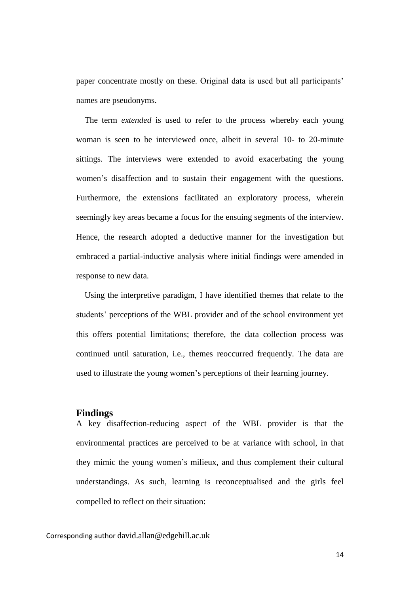paper concentrate mostly on these. Original data is used but all participants' names are pseudonyms.

 The term *extended* is used to refer to the process whereby each young woman is seen to be interviewed once, albeit in several 10- to 20-minute sittings. The interviews were extended to avoid exacerbating the young women's disaffection and to sustain their engagement with the questions. Furthermore, the extensions facilitated an exploratory process, wherein seemingly key areas became a focus for the ensuing segments of the interview. Hence, the research adopted a deductive manner for the investigation but embraced a partial-inductive analysis where initial findings were amended in response to new data.

 Using the interpretive paradigm, I have identified themes that relate to the students' perceptions of the WBL provider and of the school environment yet this offers potential limitations; therefore, the data collection process was continued until saturation, i.e., themes reoccurred frequently. The data are used to illustrate the young women's perceptions of their learning journey.

# **Findings**

A key disaffection-reducing aspect of the WBL provider is that the environmental practices are perceived to be at variance with school, in that they mimic the young women's milieux, and thus complement their cultural understandings. As such, learning is reconceptualised and the girls feel compelled to reflect on their situation: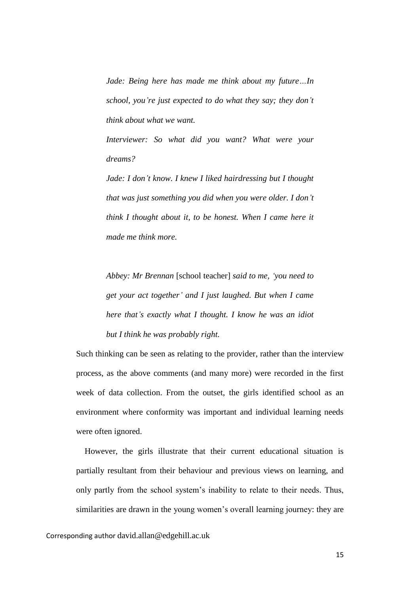*Jade: Being here has made me think about my future…In school, you're just expected to do what they say; they don't think about what we want.* 

*Interviewer: So what did you want? What were your dreams?* 

*Jade: I don't know. I knew I liked hairdressing but I thought that was just something you did when you were older. I don't think I thought about it, to be honest. When I came here it made me think more.*

*Abbey: Mr Brennan* [school teacher] *said to me, 'you need to get your act together' and I just laughed. But when I came here that's exactly what I thought. I know he was an idiot but I think he was probably right.* 

Such thinking can be seen as relating to the provider, rather than the interview process, as the above comments (and many more) were recorded in the first week of data collection. From the outset, the girls identified school as an environment where conformity was important and individual learning needs were often ignored.

 However, the girls illustrate that their current educational situation is partially resultant from their behaviour and previous views on learning, and only partly from the school system's inability to relate to their needs. Thus, similarities are drawn in the young women's overall learning journey: they are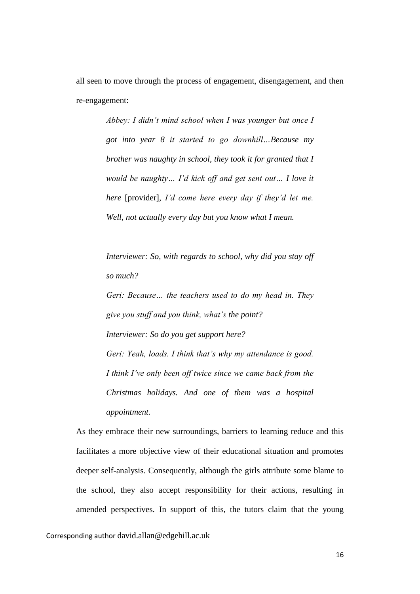all seen to move through the process of engagement, disengagement, and then re-engagement:

> *Abbey: I didn't mind school when I was younger but once I got into year 8 it started to go downhill…Because my brother was naughty in school, they took it for granted that I would be naughty… I'd kick off and get sent out… I love it here* [provider]*, I'd come here every day if they'd let me. Well, not actually every day but you know what I mean.*

> *Interviewer: So, with regards to school, why did you stay off so much?*

> *Geri: Because… the teachers used to do my head in. They give you stuff and you think, what's the point? Interviewer: So do you get support here? Geri: Yeah, loads. I think that's why my attendance is good. I think I've only been off twice since we came back from the Christmas holidays. And one of them was a hospital appointment.*

As they embrace their new surroundings, barriers to learning reduce and this facilitates a more objective view of their educational situation and promotes deeper self-analysis. Consequently, although the girls attribute some blame to the school, they also accept responsibility for their actions, resulting in amended perspectives. In support of this, the tutors claim that the young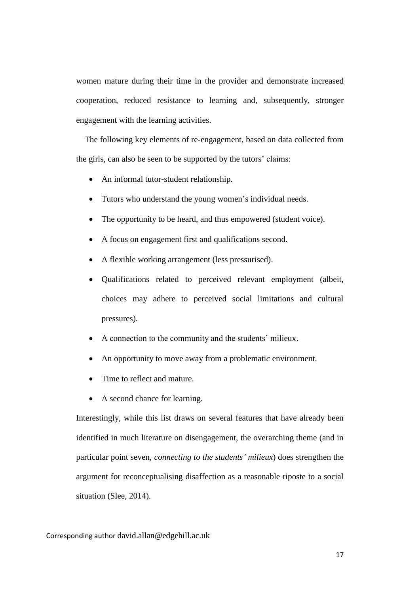women mature during their time in the provider and demonstrate increased cooperation, reduced resistance to learning and, subsequently, stronger engagement with the learning activities.

 The following key elements of re-engagement, based on data collected from the girls, can also be seen to be supported by the tutors' claims:

- An informal tutor-student relationship.
- Tutors who understand the young women's individual needs.
- The opportunity to be heard, and thus empowered (student voice).
- A focus on engagement first and qualifications second.
- A flexible working arrangement (less pressurised).
- Qualifications related to perceived relevant employment (albeit, choices may adhere to perceived social limitations and cultural pressures).
- A connection to the community and the students' milieux.
- An opportunity to move away from a problemati*c* environment.
- Time to reflect and mature.
- A second chance for learning.

Interestingly, while this list draws on several features that have already been identified in much literature on disengagement, the overarching theme (and in particular point seven, *connecting to the students' milieux*) does strengthen the argument for reconceptualising disaffection as a reasonable riposte to a social situation (Slee, 2014).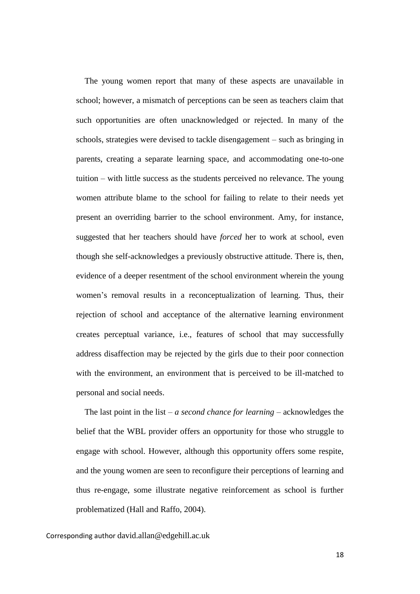The young women report that many of these aspects are unavailable in school; however, a mismatch of perceptions can be seen as teachers claim that such opportunities are often unacknowledged or rejected. In many of the schools, strategies were devised to tackle disengagement – such as bringing in parents, creating a separate learning space, and accommodating one-to-one tuition – with little success as the students perceived no relevance. The young women attribute blame to the school for failing to relate to their needs yet present an overriding barrier to the school environment. Amy, for instance, suggested that her teachers should have *forced* her to work at school, even though she self-acknowledges a previously obstructive attitude. There is, then, evidence of a deeper resentment of the school environment wherein the young women's removal results in a reconceptualization of learning. Thus, their rejection of school and acceptance of the alternative learning environment creates perceptual variance, i.e., features of school that may successfully address disaffection may be rejected by the girls due to their poor connection with the environment, an environment that is perceived to be ill-matched to personal and social needs.

The last point in the list – *a second chance for learning* – acknowledges the belief that the WBL provider offers an opportunity for those who struggle to engage with school. However, although this opportunity offers some respite, and the young women are seen to reconfigure their perceptions of learning and thus re-engage, some illustrate negative reinforcement as school is further problematized (Hall and Raffo, 2004).

Corresponding author david.allan@edgehill.ac.uk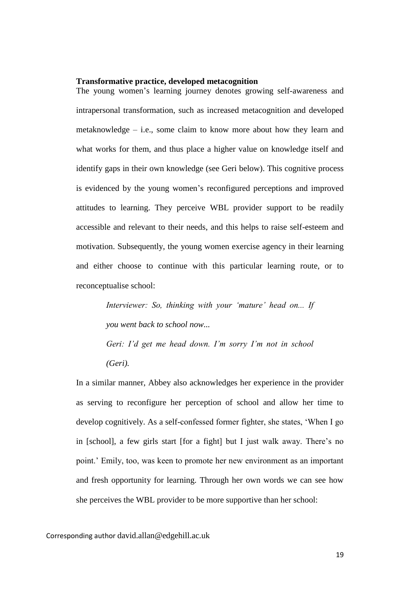### **Transformative practice, developed metacognition**

The young women's learning journey denotes growing self-awareness and intrapersonal transformation, such as increased metacognition and developed metaknowledge – i.e., some claim to know more about how they learn and what works for them, and thus place a higher value on knowledge itself and identify gaps in their own knowledge (see Geri below). This cognitive process is evidenced by the young women's reconfigured perceptions and improved attitudes to learning. They perceive WBL provider support to be readily accessible and relevant to their needs, and this helps to raise self-esteem and motivation. Subsequently, the young women exercise agency in their learning and either choose to continue with this particular learning route, or to reconceptualise school:

> *Interviewer: So, thinking with your 'mature' head on... If you went back to school now...*

> *Geri: I'd get me head down. I'm sorry I'm not in school (Geri).*

In a similar manner, Abbey also acknowledges her experience in the provider as serving to reconfigure her perception of school and allow her time to develop cognitively. As a self-confessed former fighter, she states, 'When I go in [school], a few girls start [for a fight] but I just walk away. There's no point.' Emily, too, was keen to promote her new environment as an important and fresh opportunity for learning. Through her own words we can see how she perceives the WBL provider to be more supportive than her school: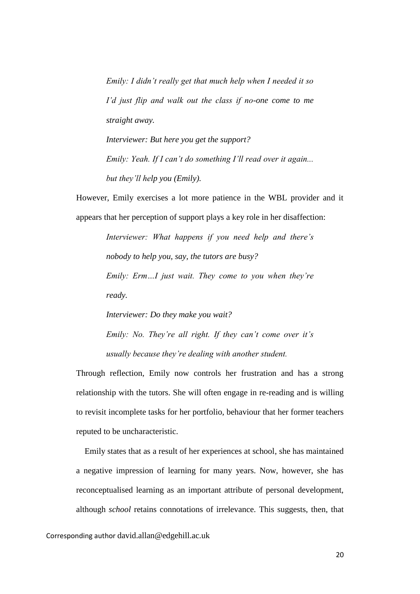*Emily: I didn't really get that much help when I needed it so I'd just flip and walk out the class if no-one come to me straight away.*

*Interviewer: But here you get the support? Emily: Yeah. If I can't do something I'll read over it again... but they'll help you (Emily).*

However, Emily exercises a lot more patience in the WBL provider and it appears that her perception of support plays a key role in her disaffection:

> *Interviewer: What happens if you need help and there's nobody to help you, say, the tutors are busy? Emily: Erm…I just wait. They come to you when they're ready.*

> *Interviewer: Do they make you wait? Emily: No. They're all right. If they can't come over it's usually because they're dealing with another student.*

Through reflection, Emily now controls her frustration and has a strong relationship with the tutors. She will often engage in re-reading and is willing to revisit incomplete tasks for her portfolio, behaviour that her former teachers reputed to be uncharacteristic.

 Emily states that as a result of her experiences at school, she has maintained a negative impression of learning for many years. Now, however, she has reconceptualised learning as an important attribute of personal development, although *school* retains connotations of irrelevance. This suggests, then, that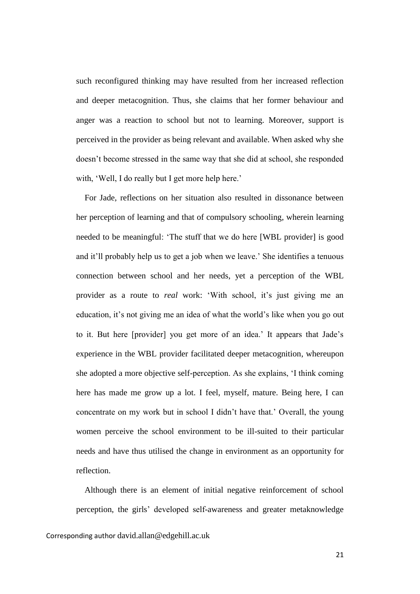such reconfigured thinking may have resulted from her increased reflection and deeper metacognition. Thus, she claims that her former behaviour and anger was a reaction to school but not to learning. Moreover, support is perceived in the provider as being relevant and available. When asked why she doesn't become stressed in the same way that she did at school, she responded with, 'Well, I do really but I get more help here.'

For Jade, reflections on her situation also resulted in dissonance between her perception of learning and that of compulsory schooling, wherein learning needed to be meaningful: 'The stuff that we do here [WBL provider] is good and it'll probably help us to get a job when we leave.' She identifies a tenuous connection between school and her needs, yet a perception of the WBL provider as a route to *real* work: 'With school, it's just giving me an education, it's not giving me an idea of what the world's like when you go out to it. But here [provider] you get more of an idea.' It appears that Jade's experience in the WBL provider facilitated deeper metacognition, whereupon she adopted a more objective self-perception. As she explains, 'I think coming here has made me grow up a lot. I feel, myself, mature. Being here, I can concentrate on my work but in school I didn't have that.' Overall, the young women perceive the school environment to be ill-suited to their particular needs and have thus utilised the change in environment as an opportunity for reflection.

 Although there is an element of initial negative reinforcement of school perception, the girls' developed self-awareness and greater metaknowledge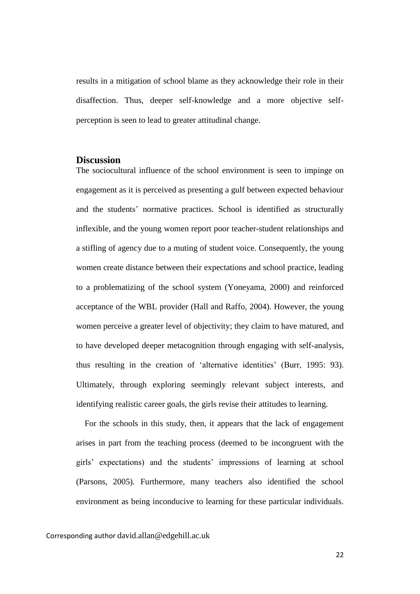results in a mitigation of school blame as they acknowledge their role in their disaffection. Thus, deeper self-knowledge and a more objective selfperception is seen to lead to greater attitudinal change.

# **Discussion**

The sociocultural influence of the school environment is seen to impinge on engagement as it is perceived as presenting a gulf between expected behaviour and the students' normative practices. School is identified as structurally inflexible, and the young women report poor teacher-student relationships and a stifling of agency due to a muting of student voice. Consequently, the young women create distance between their expectations and school practice, leading to a problematizing of the school system (Yoneyama, 2000) and reinforced acceptance of the WBL provider (Hall and Raffo, 2004). However, the young women perceive a greater level of objectivity; they claim to have matured, and to have developed deeper metacognition through engaging with self-analysis, thus resulting in the creation of 'alternative identities' (Burr, 1995: 93). Ultimately, through exploring seemingly relevant subject interests, and identifying realistic career goals, the girls revise their attitudes to learning.

 For the schools in this study, then, it appears that the lack of engagement arises in part from the teaching process (deemed to be incongruent with the girls' expectations) and the students' impressions of learning at school (Parsons, 2005). Furthermore, many teachers also identified the school environment as being inconducive to learning for these particular individuals.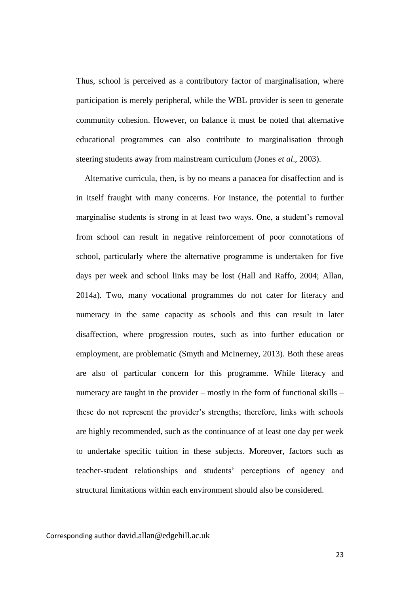Thus, school is perceived as a contributory factor of marginalisation, where participation is merely peripheral, while the WBL provider is seen to generate community cohesion. However, on balance it must be noted that alternative educational programmes can also contribute to marginalisation through steering students away from mainstream curriculum (Jones *et al*., 2003).

 Alternative curricula, then, is by no means a panacea for disaffection and is in itself fraught with many concerns. For instance, the potential to further marginalise students is strong in at least two ways. One, a student's removal from school can result in negative reinforcement of poor connotations of school, particularly where the alternative programme is undertaken for five days per week and school links may be lost (Hall and Raffo, 2004; Allan, 2014a). Two, many vocational programmes do not cater for literacy and numeracy in the same capacity as schools and this can result in later disaffection, where progression routes, such as into further education or employment, are problematic (Smyth and McInerney, 2013). Both these areas are also of particular concern for this programme. While literacy and numeracy are taught in the provider – mostly in the form of functional skills – these do not represent the provider's strengths; therefore, links with schools are highly recommended, such as the continuance of at least one day per week to undertake specific tuition in these subjects. Moreover, factors such as teacher-student relationships and students' perceptions of agency and structural limitations within each environment should also be considered.

Corresponding author david.allan@edgehill.ac.uk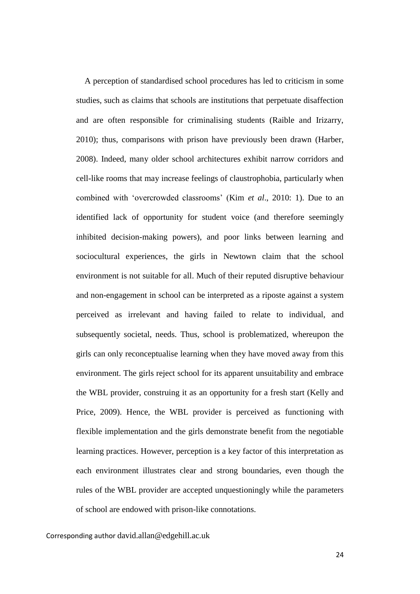A perception of standardised school procedures has led to criticism in some studies, such as claims that schools are institutions that perpetuate disaffection and are often responsible for criminalising students (Raible and Irizarry, 2010); thus, comparisons with prison have previously been drawn (Harber, 2008). Indeed, many older school architectures exhibit narrow corridors and cell-like rooms that may increase feelings of claustrophobia, particularly when combined with 'overcrowded classrooms' (Kim *et al*., 2010: 1). Due to an identified lack of opportunity for student voice (and therefore seemingly inhibited decision-making powers), and poor links between learning and sociocultural experiences, the girls in Newtown claim that the school environment is not suitable for all. Much of their reputed disruptive behaviour and non-engagement in school can be interpreted as a riposte against a system perceived as irrelevant and having failed to relate to individual, and subsequently societal, needs. Thus, school is problematized, whereupon the girls can only reconceptualise learning when they have moved away from this environment. The girls reject school for its apparent unsuitability and embrace the WBL provider, construing it as an opportunity for a fresh start (Kelly and Price, 2009). Hence, the WBL provider is perceived as functioning with flexible implementation and the girls demonstrate benefit from the negotiable learning practices. However, perception is a key factor of this interpretation as each environment illustrates clear and strong boundaries, even though the rules of the WBL provider are accepted unquestioningly while the parameters of school are endowed with prison-like connotations.

Corresponding author david.allan@edgehill.ac.uk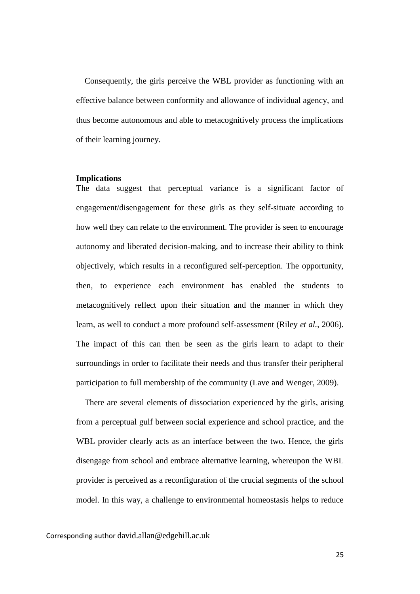Consequently, the girls perceive the WBL provider as functioning with an effective balance between conformity and allowance of individual agency, and thus become autonomous and able to metacognitively process the implications of their learning journey.

### **Implications**

The data suggest that perceptual variance is a significant factor of engagement/disengagement for these girls as they self-situate according to how well they can relate to the environment. The provider is seen to encourage autonomy and liberated decision-making, and to increase their ability to think objectively, which results in a reconfigured self-perception. The opportunity, then, to experience each environment has enabled the students to metacognitively reflect upon their situation and the manner in which they learn, as well to conduct a more profound self-assessment (Riley *et al.*, 2006). The impact of this can then be seen as the girls learn to adapt to their surroundings in order to facilitate their needs and thus transfer their peripheral participation to full membership of the community (Lave and Wenger, 2009).

 There are several elements of dissociation experienced by the girls, arising from a perceptual gulf between social experience and school practice, and the WBL provider clearly acts as an interface between the two. Hence, the girls disengage from school and embrace alternative learning, whereupon the WBL provider is perceived as a reconfiguration of the crucial segments of the school model. In this way, a challenge to environmental homeostasis helps to reduce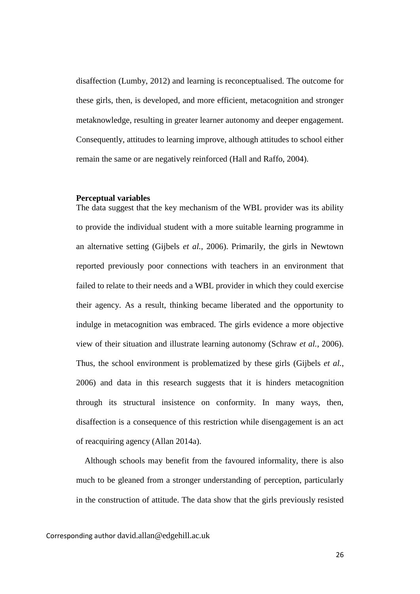disaffection (Lumby, 2012) and learning is reconceptualised. The outcome for these girls, then, is developed, and more efficient, metacognition and stronger metaknowledge, resulting in greater learner autonomy and deeper engagement. Consequently, attitudes to learning improve, although attitudes to school either remain the same or are negatively reinforced (Hall and Raffo, 2004).

### **Perceptual variables**

The data suggest that the key mechanism of the WBL provider was its ability to provide the individual student with a more suitable learning programme in an alternative setting (Gijbels *et al.*, 2006). Primarily, the girls in Newtown reported previously poor connections with teachers in an environment that failed to relate to their needs and a WBL provider in which they could exercise their agency. As a result, thinking became liberated and the opportunity to indulge in metacognition was embraced. The girls evidence a more objective view of their situation and illustrate learning autonomy (Schraw *et al.*, 2006). Thus, the school environment is problematized by these girls (Gijbels *et al.*, 2006) and data in this research suggests that it is hinders metacognition through its structural insistence on conformity. In many ways, then, disaffection is a consequence of this restriction while disengagement is an act of reacquiring agency (Allan 2014a).

 Although schools may benefit from the favoured informality, there is also much to be gleaned from a stronger understanding of perception, particularly in the construction of attitude. The data show that the girls previously resisted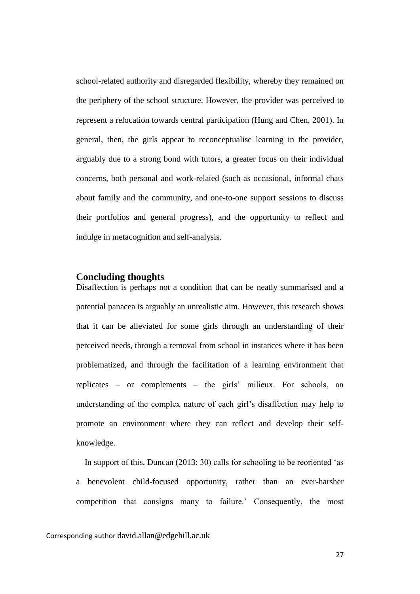school-related authority and disregarded flexibility, whereby they remained on the periphery of the school structure. However, the provider was perceived to represent a relocation towards central participation (Hung and Chen, 2001). In general, then, the girls appear to reconceptualise learning in the provider, arguably due to a strong bond with tutors, a greater focus on their individual concerns, both personal and work-related (such as occasional, informal chats about family and the community, and one-to-one support sessions to discuss their portfolios and general progress), and the opportunity to reflect and indulge in metacognition and self-analysis.

### **Concluding thoughts**

Disaffection is perhaps not a condition that can be neatly summarised and a potential panacea is arguably an unrealistic aim. However, this research shows that it can be alleviated for some girls through an understanding of their perceived needs, through a removal from school in instances where it has been problematized, and through the facilitation of a learning environment that replicates – or complements – the girls' milieux. For schools, an understanding of the complex nature of each girl's disaffection may help to promote an environment where they can reflect and develop their selfknowledge.

 In support of this, Duncan (2013: 30) calls for schooling to be reoriented 'as a benevolent child-focused opportunity, rather than an ever-harsher competition that consigns many to failure.' Consequently, the most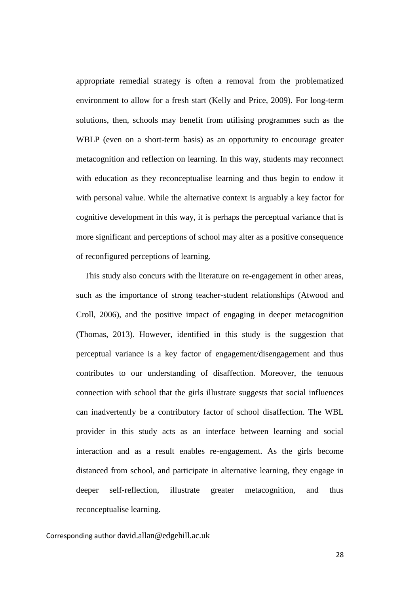appropriate remedial strategy is often a removal from the problematized environment to allow for a fresh start (Kelly and Price, 2009). For long-term solutions, then, schools may benefit from utilising programmes such as the WBLP (even on a short-term basis) as an opportunity to encourage greater metacognition and reflection on learning. In this way, students may reconnect with education as they reconceptualise learning and thus begin to endow it with personal value. While the alternative context is arguably a key factor for cognitive development in this way, it is perhaps the perceptual variance that is more significant and perceptions of school may alter as a positive consequence of reconfigured perceptions of learning.

 This study also concurs with the literature on re-engagement in other areas, such as the importance of strong teacher-student relationships (Atwood and Croll, 2006), and the positive impact of engaging in deeper metacognition (Thomas, 2013). However, identified in this study is the suggestion that perceptual variance is a key factor of engagement/disengagement and thus contributes to our understanding of disaffection. Moreover, the tenuous connection with school that the girls illustrate suggests that social influences can inadvertently be a contributory factor of school disaffection. The WBL provider in this study acts as an interface between learning and social interaction and as a result enables re-engagement. As the girls become distanced from school, and participate in alternative learning, they engage in deeper self-reflection, illustrate greater metacognition, and thus reconceptualise learning.

Corresponding author david.allan@edgehill.ac.uk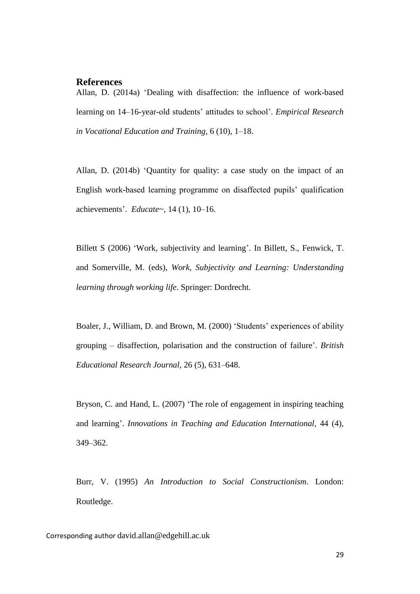# **References**

Allan, D. (2014a) 'Dealing with disaffection: the influence of work-based learning on 14–16-year-old students' attitudes to school'. *Empirical Research in Vocational Education and Training,* 6 (10), 1–18.

Allan, D. (2014b) 'Quantity for quality: a case study on the impact of an English work-based learning programme on disaffected pupils' qualification achievements'. *Educate~,* 14 (1), 10–16.

Billett S (2006) 'Work, subjectivity and learning'. In Billett, S., Fenwick, T. and Somerville, M. (eds), *Work, Subjectivity and Learning: Understanding learning through working life*. Springer: Dordrecht.

Boaler, J., William, D. and Brown, M. (2000) 'Students' experiences of ability grouping – disaffection, polarisation and the construction of failure'. *British Educational Research Journal,* 26 (5), 631–648.

Bryson, C. and Hand, L. (2007) 'The role of engagement in inspiring teaching and learning'. *Innovations in Teaching and Education International,* 44 (4), 349–362.

Burr, V. (1995) *An Introduction to Social Constructionism*. London: Routledge.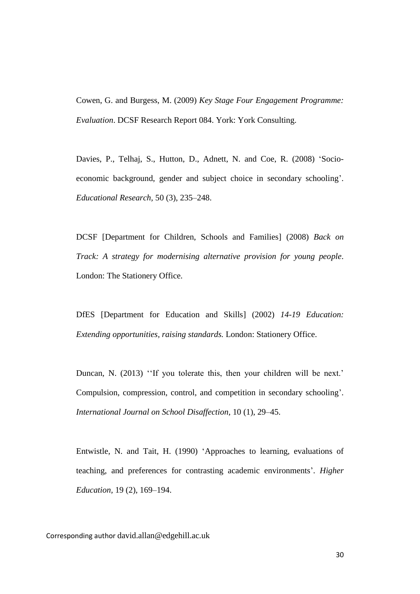Cowen, G. and Burgess, M. (2009) *Key Stage Four Engagement Programme: Evaluation*. DCSF Research Report 084. York: York Consulting.

Davies, P., Telhaj, S., Hutton, D., Adnett, N. and Coe, R. (2008) 'Socioeconomic background, gender and subject choice in secondary schooling'. *Educational Research,* 50 (3), 235–248.

DCSF [Department for Children, Schools and Families] (2008) *Back on Track: A strategy for modernising alternative provision for young people*. London: The Stationery Office.

DfES [Department for Education and Skills] (2002) *14-19 Education: Extending opportunities, raising standards.* London: Stationery Office.

Duncan, N. (2013) "If you tolerate this, then your children will be next.' Compulsion, compression, control, and competition in secondary schooling'. *International Journal on School Disaffection,* 10 (1), 29–45.

Entwistle, N. and Tait, H. (1990) 'Approaches to learning, evaluations of teaching, and preferences for contrasting academic environments'. *Higher Education,* 19 (2), 169–194.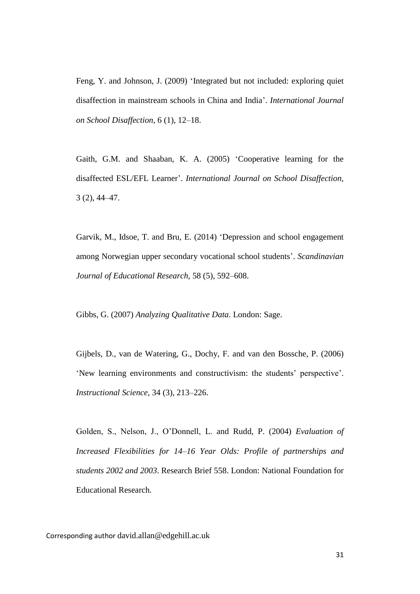Feng, Y. and Johnson, J. (2009) 'Integrated but not included: exploring quiet disaffection in mainstream schools in China and India'. *International Journal on School Disaffection,* 6 (1), 12–18.

Gaith, G.M. and Shaaban, K. A. (2005) 'Cooperative learning for the disaffected ESL/EFL Learner'. *International Journal on School Disaffection,* 3 (2), 44–47.

Garvik, M., Idsoe, T. and Bru, E. (2014) 'Depression and school engagement among Norwegian upper secondary vocational school students'. *Scandinavian Journal of Educational Research,* 58 (5), 592–608.

Gibbs, G. (2007) *Analyzing Qualitative Data*. London: Sage.

Gijbels, D., van de Watering, G., Dochy, F. and van den Bossche, P. (2006) 'New learning environments and constructivism: the students' perspective'. *Instructional Science,* 34 (3), 213–226.

Golden, S., Nelson, J., O'Donnell, L. and Rudd, P. (2004) *Evaluation of Increased Flexibilities for 14–16 Year Olds: Profile of partnerships and students 2002 and 2003*. Research Brief 558. London: National Foundation for Educational Research.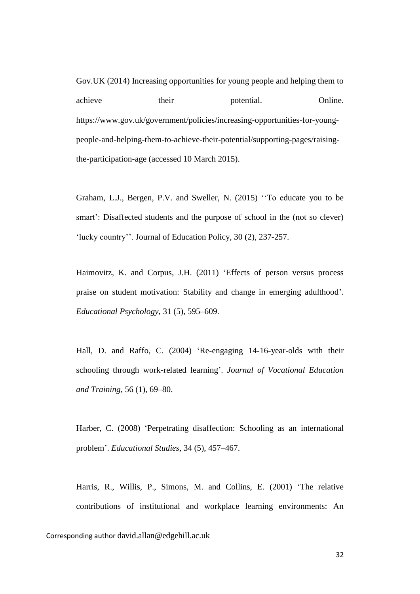Gov.UK (2014) Increasing opportunities for young people and helping them to achieve their potential. Online. https://www.gov.uk/government/policies/increasing-opportunities-for-youngpeople-and-helping-them-to-achieve-their-potential/supporting-pages/raisingthe-participation-age (accessed 10 March 2015).

Graham, L.J., Bergen, P.V. and Sweller, N. (2015) ''To educate you to be smart': Disaffected students and the purpose of school in the (not so clever) 'lucky country''. Journal of Education Policy, 30 (2), 237-257.

Haimovitz, K. and Corpus, J.H. (2011) 'Effects of person versus process praise on student motivation: Stability and change in emerging adulthood'. *Educational Psychology,* 31 (5), 595–609.

Hall, D. and Raffo, C. (2004) 'Re-engaging 14-16-year-olds with their schooling through work-related learning'. *Journal of Vocational Education and Training,* 56 (1), 69–80.

Harber, C. (2008) 'Perpetrating disaffection: Schooling as an international problem'. *Educational Studies,* 34 (5), 457–467.

Harris, R., Willis, P., Simons, M. and Collins, E. (2001) 'The relative contributions of institutional and workplace learning environments: An

Corresponding author david.allan@edgehill.ac.uk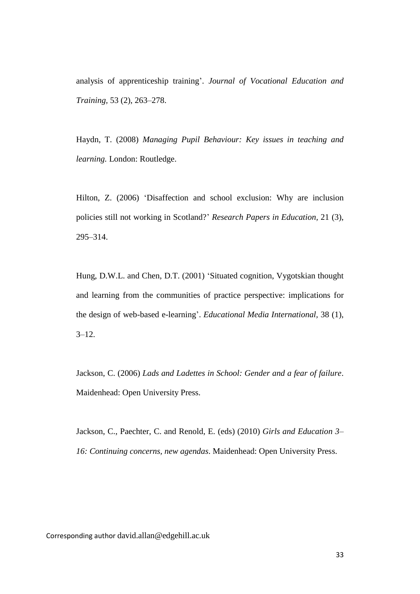analysis of apprenticeship training'. *Journal of Vocational Education and Training,* 53 (2), 263–278.

Haydn, T. (2008) *Managing Pupil Behaviour: Key issues in teaching and learning.* London: Routledge.

Hilton, Z. (2006) 'Disaffection and school exclusion: Why are inclusion policies still not working in Scotland?' *Research Papers in Education,* 21 (3), 295–314.

Hung, D.W.L. and Chen, D.T. (2001) 'Situated cognition, Vygotskian thought and learning from the communities of practice perspective: implications for the design of web-based e-learning'. *Educational Media International,* 38 (1),  $3 - 12$ .

Jackson, C. (2006) *Lads and Ladettes in School: Gender and a fear of failure*. Maidenhead: Open University Press.

Jackson, C., Paechter, C. and Renold, E. (eds) (2010) *Girls and Education 3– 16: Continuing concerns, new agendas*. Maidenhead: Open University Press.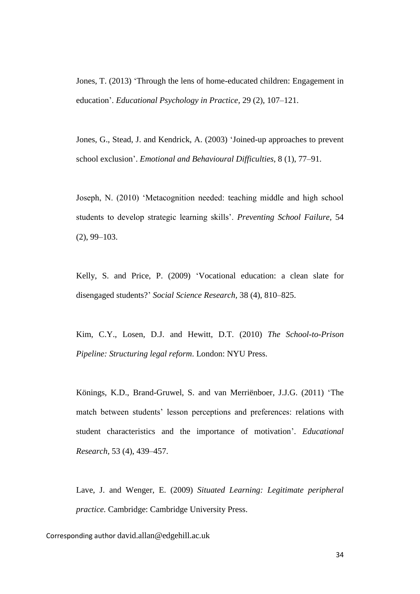Jones, T. (2013) 'Through the lens of home-educated children: Engagement in education'. *Educational Psychology in Practice,* 29 (2), 107–121.

Jones, G., Stead, J. and Kendrick, A. (2003) 'Joined-up approaches to prevent school exclusion'. *Emotional and Behavioural Difficulties,* 8 (1), 77–91.

Joseph, N. (2010) 'Metacognition needed: teaching middle and high school students to develop strategic learning skills'. *Preventing School Failure,* 54 (2), 99–103.

Kelly, S. and Price, P. (2009) 'Vocational education: a clean slate for disengaged students?' *Social Science Research,* 38 (4), 810–825.

Kim, C.Y., Losen, D.J. and Hewitt, D.T. (2010) *The School-to-Prison Pipeline: Structuring legal reform*. London: NYU Press.

Könings, K.D., Brand-Gruwel, S. and van Merriënboer, J.J.G. (2011) 'The match between students' lesson perceptions and preferences: relations with student characteristics and the importance of motivation'. *Educational Research,* 53 (4), 439–457.

Lave, J. and Wenger, E. (2009) *Situated Learning: Legitimate peripheral practice.* Cambridge: Cambridge University Press.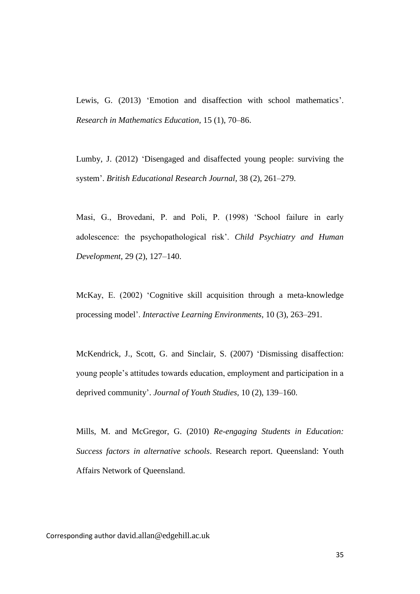Lewis, G. (2013) 'Emotion and disaffection with school mathematics'. *Research in Mathematics Education,* 15 (1), 70–86.

Lumby, J. (2012) 'Disengaged and disaffected young people: surviving the system'. *British Educational Research Journal,* 38 (2), 261–279.

Masi, G., Brovedani, P. and Poli, P. (1998) 'School failure in early adolescence: the psychopathological risk'. *Child Psychiatry and Human Development*, 29 (2), 127–140.

McKay, E. (2002) 'Cognitive skill acquisition through a meta-knowledge processing model'. *Interactive Learning Environments*, 10 (3), 263–291.

McKendrick, J., Scott, G. and Sinclair, S. (2007) 'Dismissing disaffection: young people's attitudes towards education, employment and participation in a deprived community'. *Journal of Youth Studies,* 10 (2), 139–160.

Mills, M. and McGregor, G. (2010) *Re-engaging Students in Education: Success factors in alternative schools*. Research report. Queensland: Youth Affairs Network of Queensland.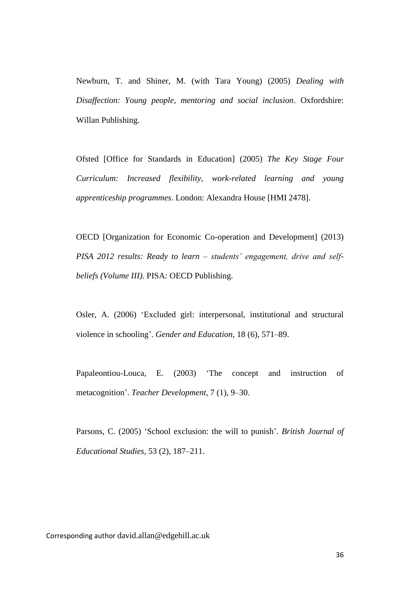Newburn, T. and Shiner, M. (with Tara Young) (2005) *Dealing with Disaffection: Young people, mentoring and social inclusion*. Oxfordshire: Willan Publishing.

Ofsted [Office for Standards in Education] (2005) *The Key Stage Four Curriculum: Increased flexibility, work-related learning and young apprenticeship programmes*. London: Alexandra House [HMI 2478].

OECD [Organization for Economic Co-operation and Development] (2013) *PISA 2012 results: Ready to learn – students' engagement, drive and selfbeliefs (Volume III).* PISA: OECD Publishing.

Osler, A. (2006) 'Excluded girl: interpersonal, institutional and structural violence in schooling'. *Gender and Education,* 18 (6), 571–89.

Papaleontiou-Louca, E. (2003) 'The concept and instruction of metacognition'. *Teacher Development,* 7 (1), 9–30.

Parsons, C. (2005) 'School exclusion: the will to punish'. *British Journal of Educational Studies,* 53 (2), 187–211.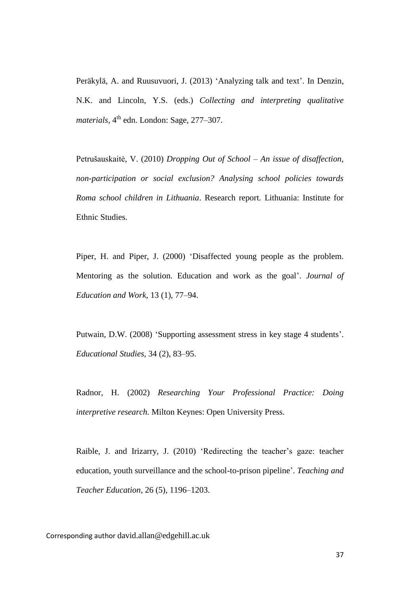Peräkylä, A. and Ruusuvuori, J. (2013) 'Analyzing talk and text'. In Denzin, N.K. and Lincoln, Y.S. (eds.) *Collecting and interpreting qualitative materials*, 4<sup>th</sup> edn. London: Sage, 277–307.

Petrušauskaitė, V. (2010) *Dropping Out of School – An issue of disaffection, non-participation or social exclusion? Analysing school policies towards Roma school children in Lithuania*. Research report. Lithuania: Institute for Ethnic Studies.

Piper, H. and Piper, J. (2000) 'Disaffected young people as the problem. Mentoring as the solution. Education and work as the goal'. *Journal of Education and Work,* 13 (1), 77–94.

Putwain, D.W. (2008) 'Supporting assessment stress in key stage 4 students'. *Educational Studies,* 34 (2), 83–95.

Radnor, H. (2002) *Researching Your Professional Practice: Doing interpretive research.* Milton Keynes: Open University Press.

Raible, J. and Irizarry, J. (2010) 'Redirecting the teacher's gaze: teacher education, youth surveillance and the school-to-prison pipeline'. *Teaching and Teacher Education,* 26 (5), 1196–1203.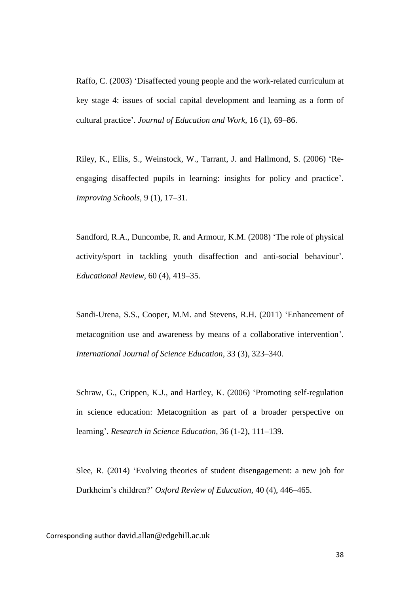Raffo, C. (2003) 'Disaffected young people and the work-related curriculum at key stage 4: issues of social capital development and learning as a form of cultural practice'. *Journal of Education and Work,* 16 (1), 69–86.

Riley, K., Ellis, S., Weinstock, W., Tarrant, J. and Hallmond, S. (2006) 'Reengaging disaffected pupils in learning: insights for policy and practice'. *Improving Schools,* 9 (1), 17–31.

Sandford, R.A., Duncombe, R. and Armour, K.M. (2008) 'The role of physical activity/sport in tackling youth disaffection and anti-social behaviour'. *Educational Review,* 60 (4), 419–35.

Sandi-Urena, S.S., Cooper, M.M. and Stevens, R.H. (2011) 'Enhancement of metacognition use and awareness by means of a collaborative intervention'. *International Journal of Science Education,* 33 (3), 323–340.

Schraw, G., Crippen, K.J., and Hartley, K. (2006) 'Promoting self-regulation in science education: Metacognition as part of a broader perspective on learning'. *Research in Science Education,* 36 (1-2), 111–139.

Slee, R. (2014) 'Evolving theories of student disengagement: a new job for Durkheim's children?' *Oxford Review of Education*, 40 (4), 446–465.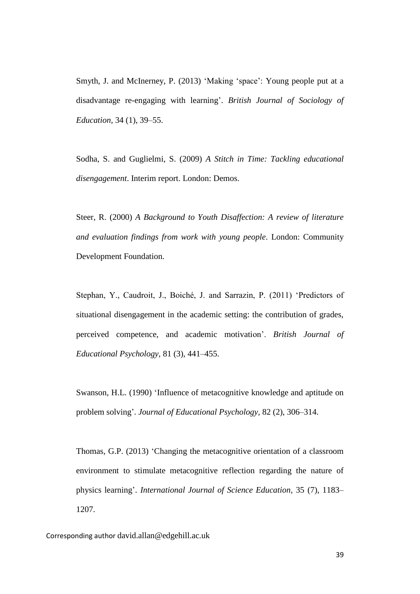Smyth, J. and McInerney, P. (2013) 'Making 'space': Young people put at a disadvantage re-engaging with learning'. *British Journal of Sociology of Education,* 34 (1), 39–55.

Sodha, S. and Guglielmi, S. (2009) *A Stitch in Time: Tackling educational disengagement*. Interim report. London: Demos.

Steer, R. (2000) *A Background to Youth Disaffection: A review of literature and evaluation findings from work with young people*. London: Community Development Foundation.

Stephan, Y., Caudroit, J., Boiché, J. and Sarrazin, P. (2011) 'Predictors of situational disengagement in the academic setting: the contribution of grades, perceived competence, and academic motivation'. *British Journal of Educational Psychology,* 81 (3), 441–455.

Swanson, H.L. (1990) 'Influence of metacognitive knowledge and aptitude on problem solving'. *Journal of Educational Psychology,* 82 (2), 306–314.

Thomas, G.P. (2013) 'Changing the metacognitive orientation of a classroom environment to stimulate metacognitive reflection regarding the nature of physics learning'. *International Journal of Science Education,* 35 (7), 1183– 1207.